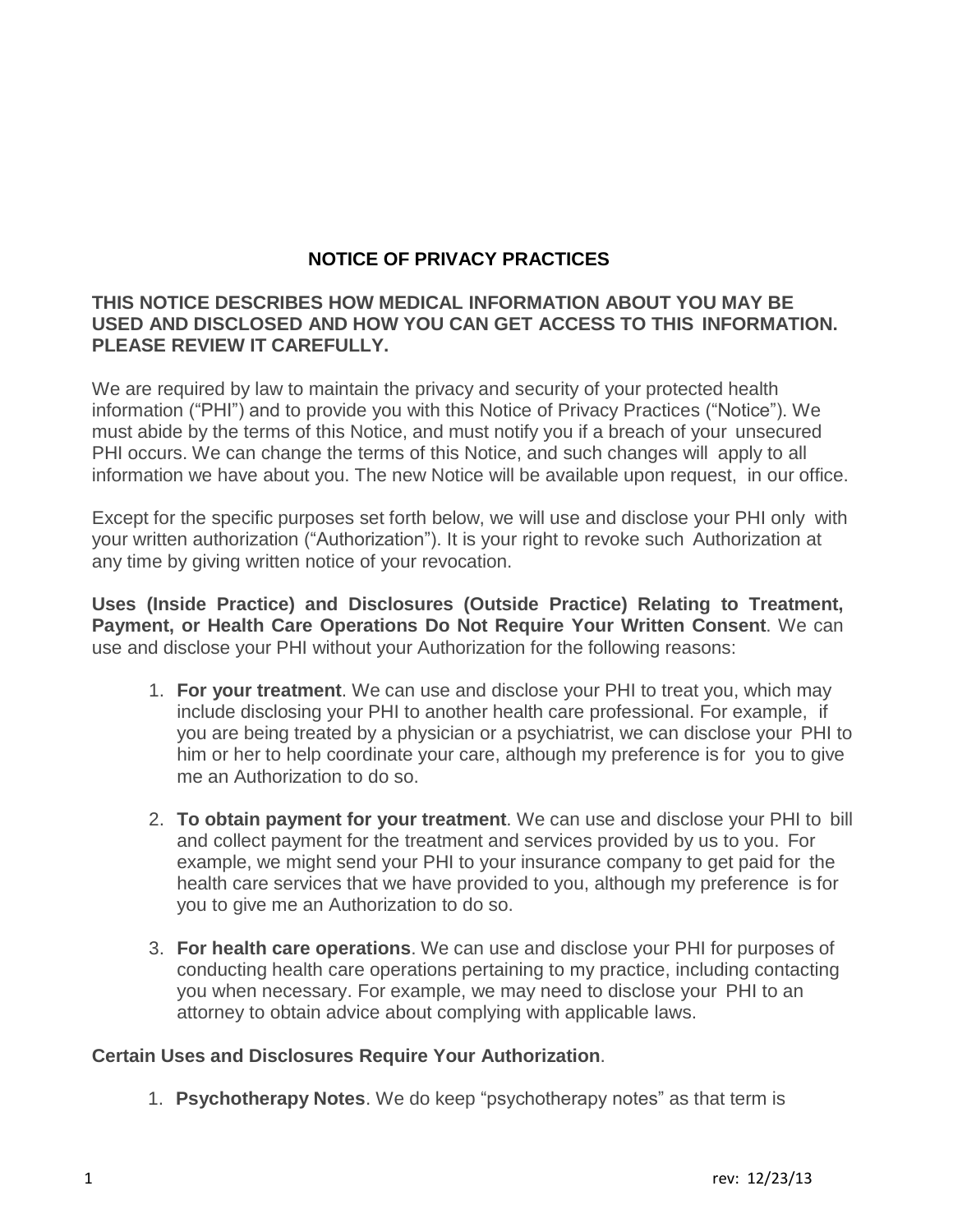# **NOTICE OF PRIVACY PRACTICES**

## **THIS NOTICE DESCRIBES HOW MEDICAL INFORMATION ABOUT YOU MAY BE USED AND DISCLOSED AND HOW YOU CAN GET ACCESS TO THIS INFORMATION. PLEASE REVIEW IT CAREFULLY.**

We are required by law to maintain the privacy and security of your protected health information ("PHI") and to provide you with this Notice of Privacy Practices ("Notice"). We must abide by the terms of this Notice, and must notify you if a breach of your unsecured PHI occurs. We can change the terms of this Notice, and such changes will apply to all information we have about you. The new Notice will be available upon request, in our office.

Except for the specific purposes set forth below, we will use and disclose your PHI only with your written authorization ("Authorization"). It is your right to revoke such Authorization at any time by giving written notice of your revocation.

**Uses (Inside Practice) and Disclosures (Outside Practice) Relating to Treatment, Payment, or Health Care Operations Do Not Require Your Written Consent**. We can use and disclose your PHI without your Authorization for the following reasons:

- 1. **For your treatment**. We can use and disclose your PHI to treat you, which may include disclosing your PHI to another health care professional. For example, if you are being treated by a physician or a psychiatrist, we can disclose your PHI to him or her to help coordinate your care, although my preference is for you to give me an Authorization to do so.
- 2. **To obtain payment for your treatment**. We can use and disclose your PHI to bill and collect payment for the treatment and services provided by us to you. For example, we might send your PHI to your insurance company to get paid for the health care services that we have provided to you, although my preference is for you to give me an Authorization to do so.
- 3. **For health care operations**. We can use and disclose your PHI for purposes of conducting health care operations pertaining to my practice, including contacting you when necessary. For example, we may need to disclose your PHI to an attorney to obtain advice about complying with applicable laws.

#### **Certain Uses and Disclosures Require Your Authorization**.

1. **Psychotherapy Notes**. We do keep "psychotherapy notes" as that term is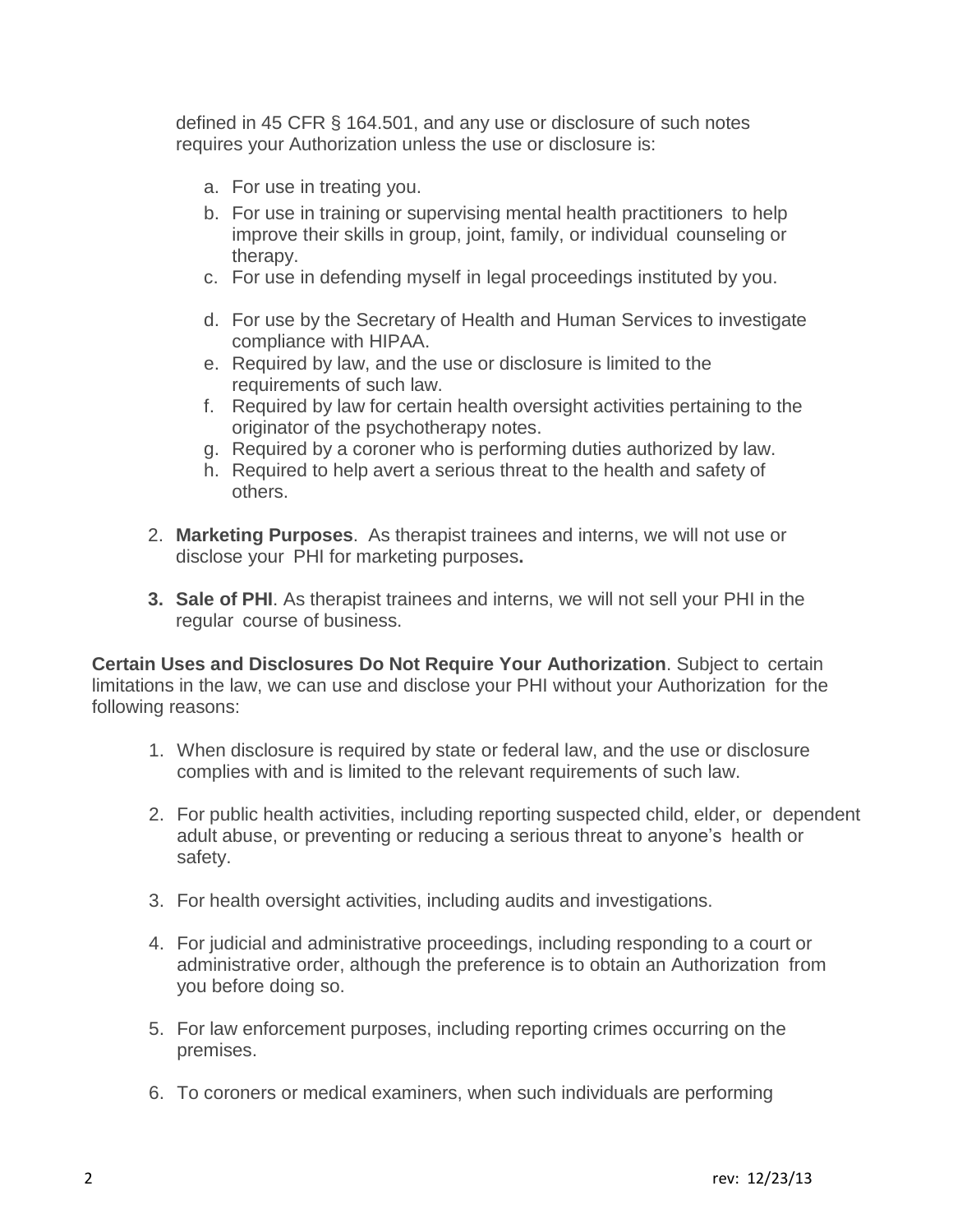defined in 45 CFR § 164.501, and any use or disclosure of such notes requires your Authorization unless the use or disclosure is:

- a. For use in treating you.
- b. For use in training or supervising mental health practitioners to help improve their skills in group, joint, family, or individual counseling or therapy.
- c. For use in defending myself in legal proceedings instituted by you.
- d. For use by the Secretary of Health and Human Services to investigate compliance with HIPAA.
- e. Required by law, and the use or disclosure is limited to the requirements of such law.
- f. Required by law for certain health oversight activities pertaining to the originator of the psychotherapy notes.
- g. Required by a coroner who is performing duties authorized by law.
- h. Required to help avert a serious threat to the health and safety of others.
- 2. **Marketing Purposes**. As therapist trainees and interns, we will not use or disclose your PHI for marketing purposes**.**
- **3. Sale of PHI**. As therapist trainees and interns, we will not sell your PHI in the regular course of business.

**Certain Uses and Disclosures Do Not Require Your Authorization**. Subject to certain limitations in the law, we can use and disclose your PHI without your Authorization for the following reasons:

- 1. When disclosure is required by state or federal law, and the use or disclosure complies with and is limited to the relevant requirements of such law.
- 2. For public health activities, including reporting suspected child, elder, or dependent adult abuse, or preventing or reducing a serious threat to anyone's health or safety.
- 3. For health oversight activities, including audits and investigations.
- 4. For judicial and administrative proceedings, including responding to a court or administrative order, although the preference is to obtain an Authorization from you before doing so.
- 5. For law enforcement purposes, including reporting crimes occurring on the premises.
- 6. To coroners or medical examiners, when such individuals are performing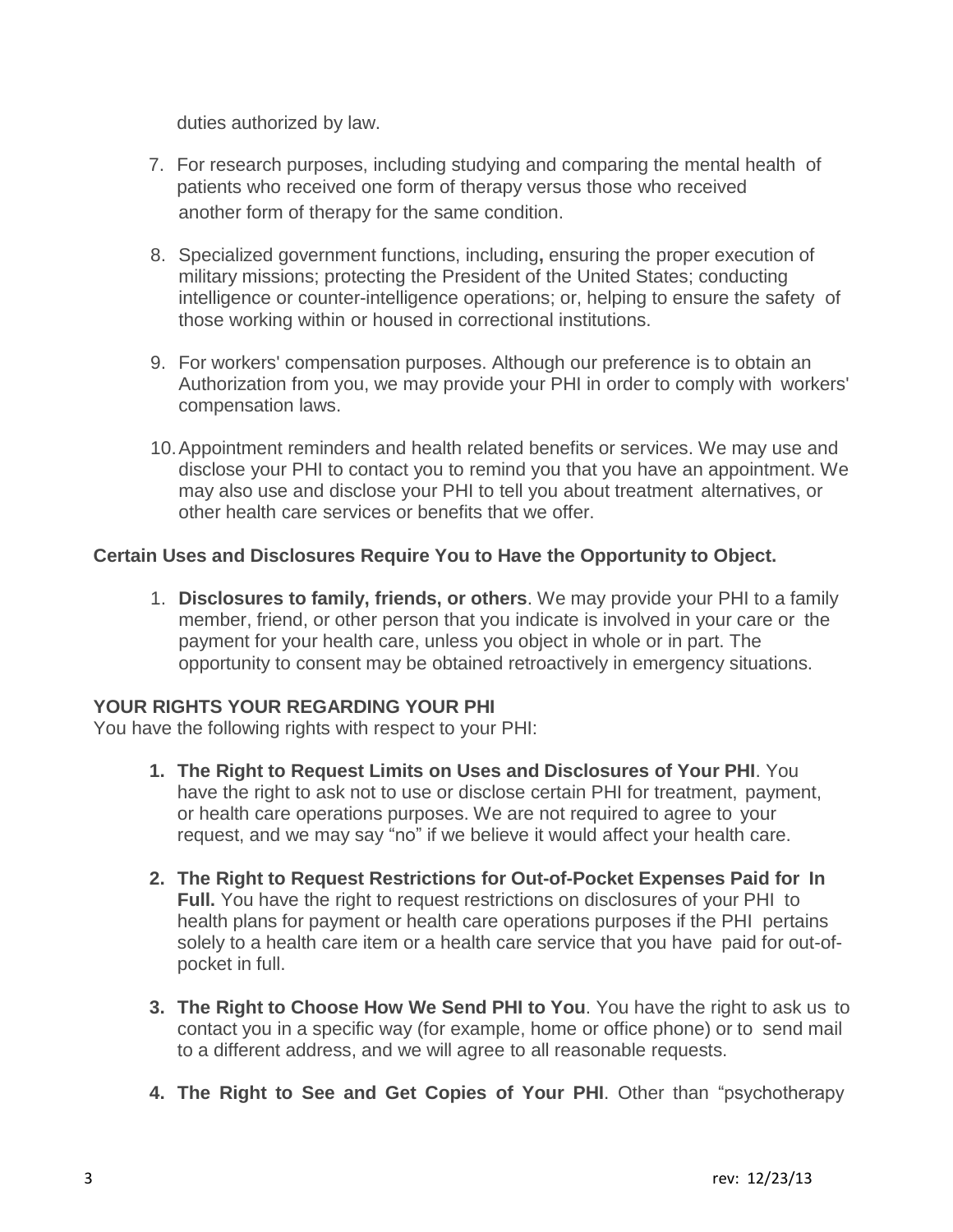duties authorized by law.

- 7. For research purposes, including studying and comparing the mental health of patients who received one form of therapy versus those who received another form of therapy for the same condition.
- 8. Specialized government functions, including**,** ensuring the proper execution of military missions; protecting the President of the United States; conducting intelligence or counter-intelligence operations; or, helping to ensure the safety of those working within or housed in correctional institutions.
- 9. For workers' compensation purposes. Although our preference is to obtain an Authorization from you, we may provide your PHI in order to comply with workers' compensation laws.
- 10. Appointment reminders and health related benefits or services. We may use and disclose your PHI to contact you to remind you that you have an appointment. We may also use and disclose your PHI to tell you about treatment alternatives, or other health care services or benefits that we offer.

## **Certain Uses and Disclosures Require You to Have the Opportunity to Object.**

1. **Disclosures to family, friends, or others**. We may provide your PHI to a family member, friend, or other person that you indicate is involved in your care or the payment for your health care, unless you object in whole or in part. The opportunity to consent may be obtained retroactively in emergency situations.

#### **YOUR RIGHTS YOUR REGARDING YOUR PHI**

You have the following rights with respect to your PHI:

- **1. The Right to Request Limits on Uses and Disclosures of Your PHI**. You have the right to ask not to use or disclose certain PHI for treatment, payment, or health care operations purposes. We are not required to agree to your request, and we may say "no" if we believe it would affect your health care.
- **2. The Right to Request Restrictions for Out-of-Pocket Expenses Paid for In Full.** You have the right to request restrictions on disclosures of your PHI to health plans for payment or health care operations purposes if the PHI pertains solely to a health care item or a health care service that you have paid for out-ofpocket in full.
- **3. The Right to Choose How We Send PHI to You**. You have the right to ask us to contact you in a specific way (for example, home or office phone) or to send mail to a different address, and we will agree to all reasonable requests.
- **4. The Right to See and Get Copies of Your PHI**. Other than "psychotherapy